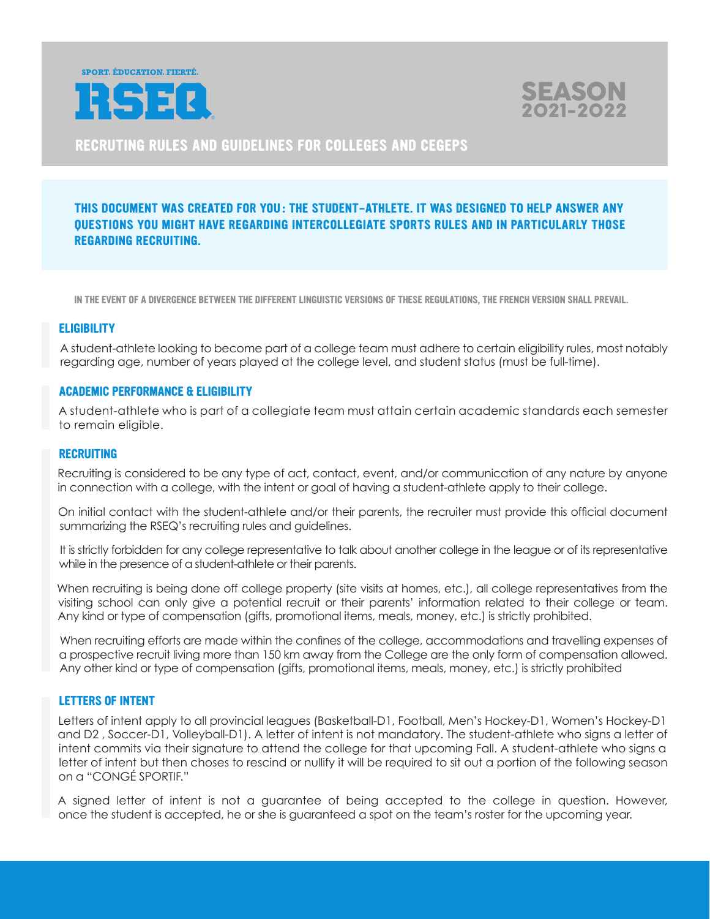



**RECRUTING RULES AND GUIDELINES FOR COLLEGES AND CEGEPS**

# **THIS DOCUMENT WAS CREATED FOR YOU : THE STUDENT-ATHLETE. IT WAS DESIGNED TO HELP ANSWER ANY QUESTIONS YOU MIGHT HAVE REGARDING INTERCOLLEGIATE SPORTS RULES AND IN PARTICULARLY THOSE REGARDING RECRUITING.**

 **IN THE EVENT OF A DIVERGENCE BETWEEN THE DIFFERENT LINGUISTIC VERSIONS OF THESE REGULATIONS, THE FRENCH VERSION SHALL PREVAIL.**

### **ELIGIBILITY**

 A student-athlete looking to become part of a college team must adhere to certain eligibility rules, most notably regarding age, number of years played at the college level, and student status (must be full-time).

### **ACADEMIC PERFORMANCE & ELIGIBILITY**

 A student-athlete who is part of a collegiate team must attain certain academic standards each semester to remain eligible.

#### **RECRUITING**

 Recruiting is considered to be any type of act, contact, event, and/or communication of any nature by anyone in connection with a college, with the intent or goal of having a student-athlete apply to their college.

 On initial contact with the student-athlete and/or their parents, the recruiter must provide this official document summarizing the RSEQ's recruiting rules and guidelines.

 It is strictly forbidden for any college representative to talk about another college in the league or of its representative while in the presence of a student-athlete or their parents.

When recruiting is being done off college property (site visits at homes, etc.), all college representatives from the visiting school can only give a potential recruit or their parents' information related to their college or team. Any kind or type of compensation (gifts, promotional items, meals, money, etc.) is strictly prohibited.

 When recruiting efforts are made within the confines of the college, accommodations and travelling expenses of a prospective recruit living more than 150 km away from the College are the only form of compensation allowed. Any other kind or type of compensation (gifts, promotional items, meals, money, etc.) is strictly prohibited

### **LETTERS OF INTENT**

 Letters of intent apply to all provincial leagues (Basketball-D1, Football, Men's Hockey-D1, Women's Hockey-D1 and D2 , Soccer-D1, Volleyball-D1). A letter of intent is not mandatory. The student-athlete who signs a letter of intent commits via their signature to attend the college for that upcoming Fall. A student-athlete who signs a letter of intent but then choses to rescind or nullify it will be required to sit out a portion of the following season on a "CONGÉ SPORTIF."

 A signed letter of intent is not a guarantee of being accepted to the college in question. However, once the student is accepted, he or she is guaranteed a spot on the team's roster for the upcoming year.